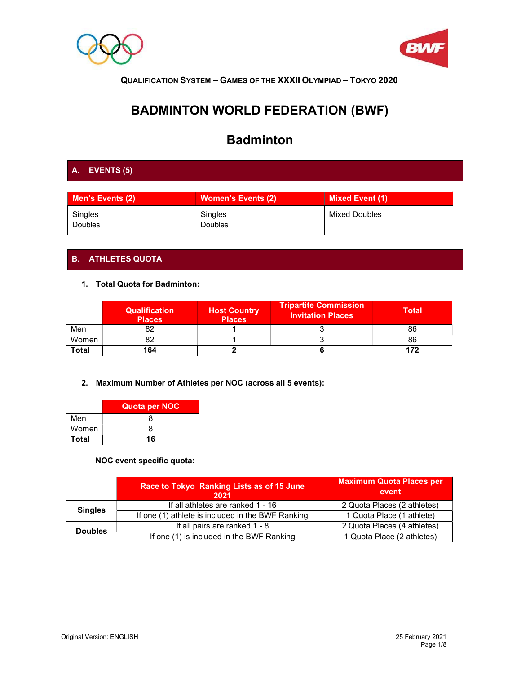



# BADMINTON WORLD FEDERATION (BWF)

# Badminton

# A. EVENTS (5)

| Men's Events (2)          | <b>Women's Events (2)</b> | <b>Mixed Event (1)</b> |
|---------------------------|---------------------------|------------------------|
| Singles<br><b>Doubles</b> | Singles<br><b>Doubles</b> | Mixed Doubles          |

# B. ATHLETES QUOTA

1. Total Quota for Badminton:

|       | <b>Qualification</b><br><b>Places</b> | <b>Host Country</b><br><b>Places</b> | <b>Tripartite Commission</b><br><b>Invitation Places</b> | <b>Total</b> |
|-------|---------------------------------------|--------------------------------------|----------------------------------------------------------|--------------|
| Men   | oΖ                                    |                                      |                                                          | 86           |
| Women |                                       |                                      |                                                          | 86           |
| Total | 164                                   |                                      |                                                          |              |

2. Maximum Number of Athletes per NOC (across all 5 events):

|       | Quota per NOC |
|-------|---------------|
| Men   |               |
| Women |               |
| Total | 16            |

## NOC event specific quota:

|                | Race to Tokyo Ranking Lists as of 15 June<br>2021 | <b>Maximum Quota Places per</b><br>event |
|----------------|---------------------------------------------------|------------------------------------------|
| <b>Singles</b> | If all athletes are ranked 1 - 16                 | 2 Quota Places (2 athletes)              |
|                | If one (1) athlete is included in the BWF Ranking | 1 Quota Place (1 athlete)                |
| <b>Doubles</b> | If all pairs are ranked 1 - 8                     | 2 Quota Places (4 athletes)              |
|                | If one (1) is included in the BWF Ranking         | 1 Quota Place (2 athletes)               |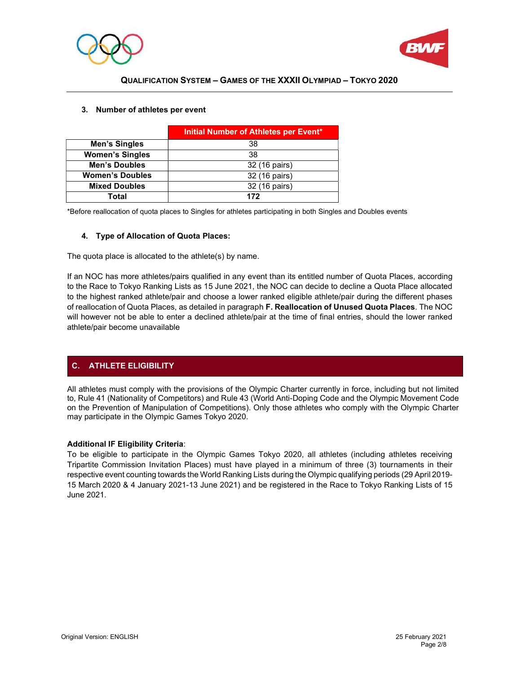



|                        | Initial Number of Athletes per Event* |
|------------------------|---------------------------------------|
| Men's Singles          | 38                                    |
| <b>Women's Singles</b> | 38                                    |
| <b>Men's Doubles</b>   | 32 (16 pairs)                         |
| <b>Women's Doubles</b> | 32 (16 pairs)                         |
| <b>Mixed Doubles</b>   | 32 (16 pairs)                         |
| Total                  | 172                                   |

#### 3. Number of athletes per event

\*Before reallocation of quota places to Singles for athletes participating in both Singles and Doubles events

#### 4. Type of Allocation of Quota Places:

The quota place is allocated to the athlete(s) by name.

If an NOC has more athletes/pairs qualified in any event than its entitled number of Quota Places, according to the Race to Tokyo Ranking Lists as 15 June 2021, the NOC can decide to decline a Quota Place allocated to the highest ranked athlete/pair and choose a lower ranked eligible athlete/pair during the different phases of reallocation of Quota Places, as detailed in paragraph F. Reallocation of Unused Quota Places. The NOC will however not be able to enter a declined athlete/pair at the time of final entries, should the lower ranked athlete/pair become unavailable

## C. ATHLETE ELIGIBILITY

All athletes must comply with the provisions of the Olympic Charter currently in force, including but not limited to, Rule 41 (Nationality of Competitors) and Rule 43 (World Anti-Doping Code and the Olympic Movement Code on the Prevention of Manipulation of Competitions). Only those athletes who comply with the Olympic Charter may participate in the Olympic Games Tokyo 2020.

#### Additional IF Eligibility Criteria:

To be eligible to participate in the Olympic Games Tokyo 2020, all athletes (including athletes receiving Tripartite Commission Invitation Places) must have played in a minimum of three (3) tournaments in their respective event counting towards the World Ranking Lists during the Olympic qualifying periods (29 April 2019- 15 March 2020 & 4 January 2021-13 June 2021) and be registered in the Race to Tokyo Ranking Lists of 15 June 2021.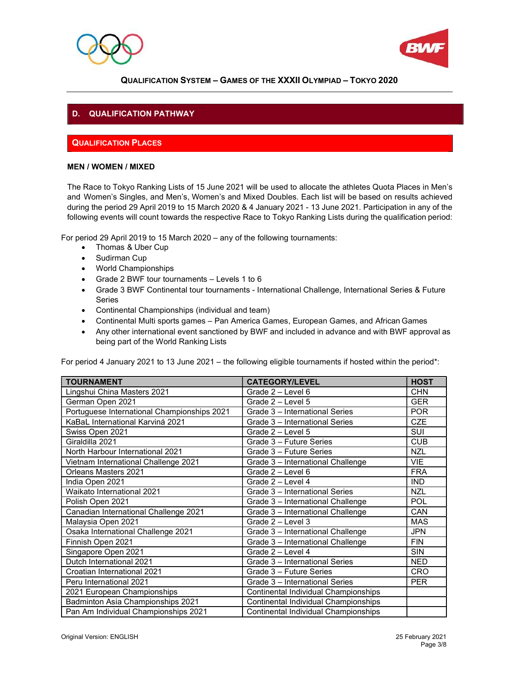



# D. QUALIFICATION PATHWAY

# QUALIFICATION PLACES

#### MEN / WOMEN / MIXED

The Race to Tokyo Ranking Lists of 15 June 2021 will be used to allocate the athletes Quota Places in Men's and Women's Singles, and Men's, Women's and Mixed Doubles. Each list will be based on results achieved during the period 29 April 2019 to 15 March 2020 & 4 January 2021 - 13 June 2021. Participation in any of the following events will count towards the respective Race to Tokyo Ranking Lists during the qualification period:

For period 29 April 2019 to 15 March 2020 – any of the following tournaments:

- Thomas & Uber Cup
- Sudirman Cup
- World Championships
- Grade 2 BWF tour tournaments Levels 1 to 6
- Grade 3 BWF Continental tour tournaments International Challenge, International Series & Future Series
- Continental Championships (individual and team)
- Continental Multi sports games Pan America Games, European Games, and African Games
- Any other international event sanctioned by BWF and included in advance and with BWF approval as being part of the World Ranking Lists

For period 4 January 2021 to 13 June 2021 – the following eligible tournaments if hosted within the period\*:

| <b>TOURNAMENT</b>                           | <b>CATEGORY/LEVEL</b>                | <b>HOST</b> |
|---------------------------------------------|--------------------------------------|-------------|
| Lingshui China Masters 2021                 | Grade 2 - Level 6                    | <b>CHN</b>  |
| German Open 2021                            | Grade $2 -$ Level 5                  | <b>GER</b>  |
| Portuguese International Championships 2021 | Grade 3 - International Series       | <b>POR</b>  |
| KaBaL International Karviná 2021            | Grade 3 - International Series       | CZE         |
| Swiss Open 2021                             | Grade $2 -$ Level 5                  | <b>SUI</b>  |
| Giraldilla 2021                             | Grade 3 - Future Series              | <b>CUB</b>  |
| North Harbour International 2021            | Grade 3 - Future Series              | <b>NZL</b>  |
| Vietnam International Challenge 2021        | Grade 3 - International Challenge    | <b>VIE</b>  |
| Orleans Masters 2021                        | Grade $2 -$ Level $6$                | <b>FRA</b>  |
| India Open 2021                             | Grade 2 - Level 4                    | <b>IND</b>  |
| Waikato International 2021                  | Grade 3 - International Series       | <b>NZL</b>  |
| Polish Open 2021                            | Grade 3 - International Challenge    | <b>POL</b>  |
| Canadian International Challenge 2021       | Grade 3 - International Challenge    | CAN         |
| Malaysia Open 2021                          | Grade $2 -$ Level 3                  | <b>MAS</b>  |
| Osaka International Challenge 2021          | Grade 3 - International Challenge    | <b>JPN</b>  |
| Finnish Open 2021                           | Grade 3 - International Challenge    | <b>FIN</b>  |
| Singapore Open 2021                         | Grade 2 - Level 4                    | <b>SIN</b>  |
| Dutch International 2021                    | Grade 3 - International Series       | <b>NED</b>  |
| Croatian International 2021                 | Grade 3 - Future Series              | <b>CRO</b>  |
| Peru International 2021                     | Grade 3 - International Series       | <b>PER</b>  |
| 2021 European Championships                 | Continental Individual Championships |             |
| Badminton Asia Championships 2021           | Continental Individual Championships |             |
| Pan Am Individual Championships 2021        | Continental Individual Championships |             |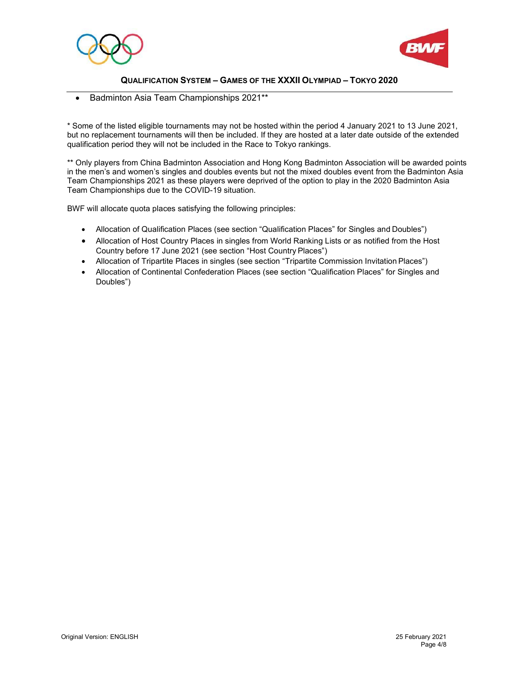



Badminton Asia Team Championships 2021\*\*

\* Some of the listed eligible tournaments may not be hosted within the period 4 January 2021 to 13 June 2021, but no replacement tournaments will then be included. If they are hosted at a later date outside of the extended qualification period they will not be included in the Race to Tokyo rankings.

\*\* Only players from China Badminton Association and Hong Kong Badminton Association will be awarded points in the men's and women's singles and doubles events but not the mixed doubles event from the Badminton Asia Team Championships 2021 as these players were deprived of the option to play in the 2020 Badminton Asia Team Championships due to the COVID-19 situation.

BWF will allocate quota places satisfying the following principles:

- Allocation of Qualification Places (see section "Qualification Places" for Singles and Doubles")
- Allocation of Host Country Places in singles from World Ranking Lists or as notified from the Host Country before 17 June 2021 (see section "Host Country Places")
- Allocation of Tripartite Places in singles (see section "Tripartite Commission Invitation Places")
- Allocation of Continental Confederation Places (see section "Qualification Places" for Singles and Doubles")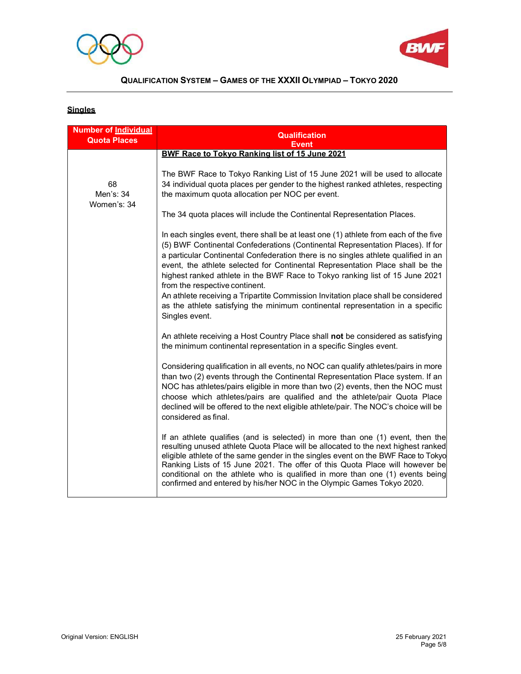



# **Singles**

| <b>Number of Individual</b><br><b>Quota Places</b> | <b>Qualification</b><br><b>Event</b>                                                                                                                                                                                                                                                                                                                                                                                                                                                                                                                                                                                                                     |
|----------------------------------------------------|----------------------------------------------------------------------------------------------------------------------------------------------------------------------------------------------------------------------------------------------------------------------------------------------------------------------------------------------------------------------------------------------------------------------------------------------------------------------------------------------------------------------------------------------------------------------------------------------------------------------------------------------------------|
|                                                    | BWF Race to Tokvo Ranking list of 15 June 2021                                                                                                                                                                                                                                                                                                                                                                                                                                                                                                                                                                                                           |
| 68<br>Men's: 34<br>Women's: 34                     | The BWF Race to Tokyo Ranking List of 15 June 2021 will be used to allocate<br>34 individual quota places per gender to the highest ranked athletes, respecting<br>the maximum quota allocation per NOC per event.                                                                                                                                                                                                                                                                                                                                                                                                                                       |
|                                                    | The 34 quota places will include the Continental Representation Places.                                                                                                                                                                                                                                                                                                                                                                                                                                                                                                                                                                                  |
|                                                    | In each singles event, there shall be at least one (1) athlete from each of the five<br>(5) BWF Continental Confederations (Continental Representation Places). If for<br>a particular Continental Confederation there is no singles athlete qualified in an<br>event, the athlete selected for Continental Representation Place shall be the<br>highest ranked athlete in the BWF Race to Tokyo ranking list of 15 June 2021<br>from the respective continent.<br>An athlete receiving a Tripartite Commission Invitation place shall be considered<br>as the athlete satisfying the minimum continental representation in a specific<br>Singles event. |
|                                                    | An athlete receiving a Host Country Place shall not be considered as satisfying<br>the minimum continental representation in a specific Singles event.                                                                                                                                                                                                                                                                                                                                                                                                                                                                                                   |
|                                                    | Considering qualification in all events, no NOC can qualify athletes/pairs in more<br>than two (2) events through the Continental Representation Place system. If an<br>NOC has athletes/pairs eligible in more than two (2) events, then the NOC must<br>choose which athletes/pairs are qualified and the athlete/pair Quota Place<br>declined will be offered to the next eligible athlete/pair. The NOC's choice will be<br>considered as final.                                                                                                                                                                                                     |
|                                                    | If an athlete qualifies (and is selected) in more than one (1) event, then the<br>resulting unused athlete Quota Place will be allocated to the next highest ranked<br>eligible athlete of the same gender in the singles event on the BWF Race to Tokyo<br>Ranking Lists of 15 June 2021. The offer of this Quota Place will however be<br>conditional on the athlete who is qualified in more than one (1) events being<br>confirmed and entered by his/her NOC in the Olympic Games Tokyo 2020.                                                                                                                                                       |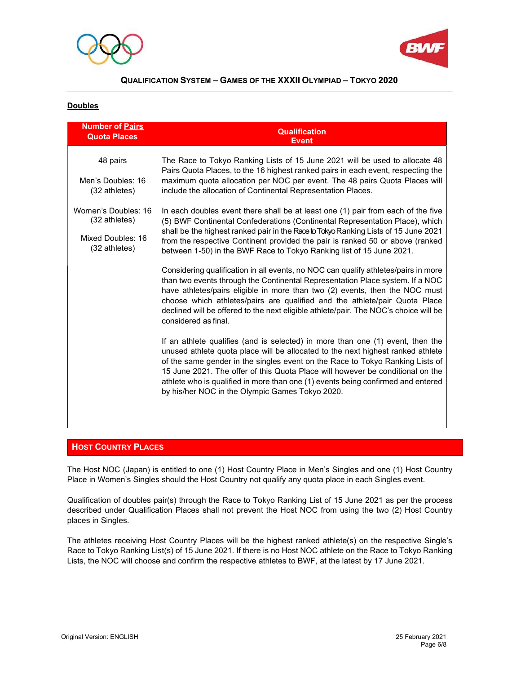



### **Doubles**

| <b>Number of Pairs</b><br><b>Quota Places</b>                                                                                         | <b>Qualification</b><br><b>Event</b>                                                                                                                                                                                                                                                                                                                                                                                                                                                                                                                                                                                                                                                                                                                                                                                                                                                                                                                                                                                                                                                                                                                                                                                                                                    |
|---------------------------------------------------------------------------------------------------------------------------------------|-------------------------------------------------------------------------------------------------------------------------------------------------------------------------------------------------------------------------------------------------------------------------------------------------------------------------------------------------------------------------------------------------------------------------------------------------------------------------------------------------------------------------------------------------------------------------------------------------------------------------------------------------------------------------------------------------------------------------------------------------------------------------------------------------------------------------------------------------------------------------------------------------------------------------------------------------------------------------------------------------------------------------------------------------------------------------------------------------------------------------------------------------------------------------------------------------------------------------------------------------------------------------|
| 48 pairs<br>Men's Doubles: 16<br>$(32 \text{athletes})$<br>Women's Doubles: 16<br>(32 athletes)<br>Mixed Doubles: 16<br>(32 athletes) | The Race to Tokyo Ranking Lists of 15 June 2021 will be used to allocate 48<br>Pairs Quota Places, to the 16 highest ranked pairs in each event, respecting the<br>maximum quota allocation per NOC per event. The 48 pairs Quota Places will<br>include the allocation of Continental Representation Places.<br>In each doubles event there shall be at least one (1) pair from each of the five<br>(5) BWF Continental Confederations (Continental Representation Place), which<br>shall be the highest ranked pair in the Race to Tokyo Ranking Lists of 15 June 2021<br>from the respective Continent provided the pair is ranked 50 or above (ranked<br>between 1-50) in the BWF Race to Tokyo Ranking list of 15 June 2021.<br>Considering qualification in all events, no NOC can qualify athletes/pairs in more<br>than two events through the Continental Representation Place system. If a NOC<br>have athletes/pairs eligible in more than two (2) events, then the NOC must<br>choose which athletes/pairs are qualified and the athlete/pair Quota Place<br>declined will be offered to the next eligible athlete/pair. The NOC's choice will be<br>considered as final.<br>If an athlete qualifies (and is selected) in more than one (1) event, then the |
|                                                                                                                                       | unused athlete quota place will be allocated to the next highest ranked athlete<br>of the same gender in the singles event on the Race to Tokyo Ranking Lists of<br>15 June 2021. The offer of this Quota Place will however be conditional on the<br>athlete who is qualified in more than one (1) events being confirmed and entered<br>by his/her NOC in the Olympic Games Tokyo 2020.                                                                                                                                                                                                                                                                                                                                                                                                                                                                                                                                                                                                                                                                                                                                                                                                                                                                               |

## **HOST COUNTRY PLACES**

The Host NOC (Japan) is entitled to one (1) Host Country Place in Men's Singles and one (1) Host Country Place in Women's Singles should the Host Country not qualify any quota place in each Singles event.

Qualification of doubles pair(s) through the Race to Tokyo Ranking List of 15 June 2021 as per the process described under Qualification Places shall not prevent the Host NOC from using the two (2) Host Country places in Singles.

The athletes receiving Host Country Places will be the highest ranked athlete(s) on the respective Single's Race to Tokyo Ranking List(s) of 15 June 2021. If there is no Host NOC athlete on the Race to Tokyo Ranking Lists, the NOC will choose and confirm the respective athletes to BWF, at the latest by 17 June 2021.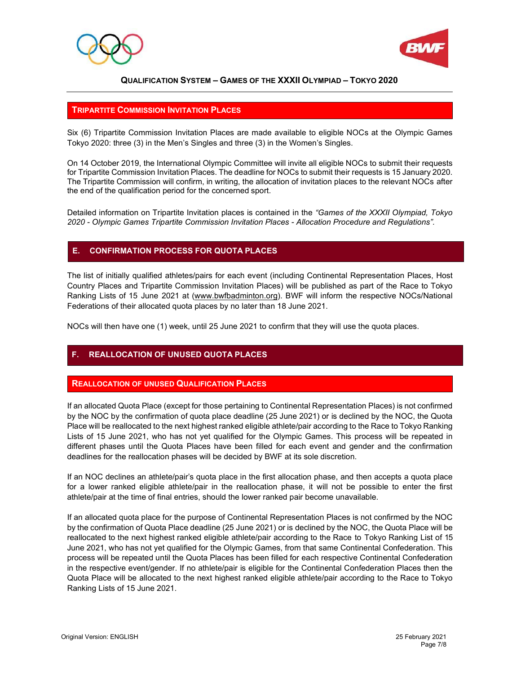



### TRIPARTITE COMMISSION INVITATION PLACES

Six (6) Tripartite Commission Invitation Places are made available to eligible NOCs at the Olympic Games Tokyo 2020: three (3) in the Men's Singles and three (3) in the Women's Singles.

On 14 October 2019, the International Olympic Committee will invite all eligible NOCs to submit their requests for Tripartite Commission Invitation Places. The deadline for NOCs to submit their requests is 15 January 2020. The Tripartite Commission will confirm, in writing, the allocation of invitation places to the relevant NOCs after the end of the qualification period for the concerned sport.

Detailed information on Tripartite Invitation places is contained in the "Games of the XXXII Olympiad, Tokyo 2020 - Olympic Games Tripartite Commission Invitation Places - Allocation Procedure and Regulations".

## E. CONFIRMATION PROCESS FOR QUOTA PLACES

The list of initially qualified athletes/pairs for each event (including Continental Representation Places, Host Country Places and Tripartite Commission Invitation Places) will be published as part of the Race to Tokyo Ranking Lists of 15 June 2021 at (www.bwfbadminton.org). BWF will inform the respective NOCs/National Federations of their allocated quota places by no later than 18 June 2021.

NOCs will then have one (1) week, until 25 June 2021 to confirm that they will use the quota places.

## **REALLOCATION OF UNUSED QUOTA PLACES**

## REALLOCATION OF UNUSED QUALIFICATION PLACES

If an allocated Quota Place (except for those pertaining to Continental Representation Places) is not confirmed by the NOC by the confirmation of quota place deadline (25 June 2021) or is declined by the NOC, the Quota Place will be reallocated to the next highest ranked eligible athlete/pair according to the Race to Tokyo Ranking Lists of 15 June 2021, who has not yet qualified for the Olympic Games. This process will be repeated in different phases until the Quota Places have been filled for each event and gender and the confirmation deadlines for the reallocation phases will be decided by BWF at its sole discretion.

If an NOC declines an athlete/pair's quota place in the first allocation phase, and then accepts a quota place for a lower ranked eligible athlete/pair in the reallocation phase, it will not be possible to enter the first athlete/pair at the time of final entries, should the lower ranked pair become unavailable.

If an allocated quota place for the purpose of Continental Representation Places is not confirmed by the NOC by the confirmation of Quota Place deadline (25 June 2021) or is declined by the NOC, the Quota Place will be reallocated to the next highest ranked eligible athlete/pair according to the Race to Tokyo Ranking List of 15 June 2021, who has not yet qualified for the Olympic Games, from that same Continental Confederation. This process will be repeated until the Quota Places has been filled for each respective Continental Confederation in the respective event/gender. If no athlete/pair is eligible for the Continental Confederation Places then the Quota Place will be allocated to the next highest ranked eligible athlete/pair according to the Race to Tokyo Ranking Lists of 15 June 2021.